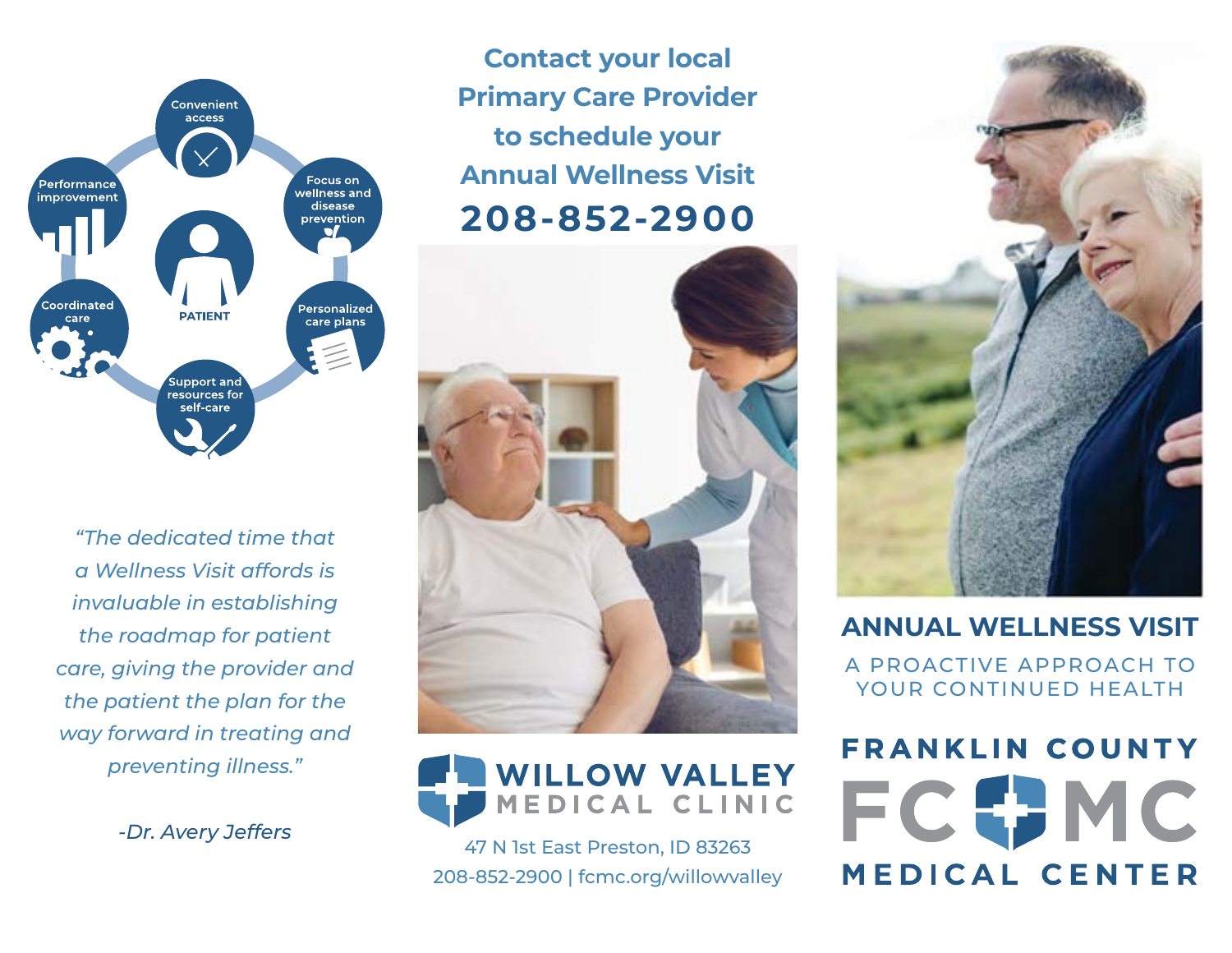

*"The dedicated time that a Wellness Visit affords is invaluable in establishing the roadmap for patient care, giving the provider and the patient the plan for the way forward in treating and preventing illness."*

**Contact your local Primary Care Provider to schedule your Annual Wellness Visit 208-852-2900**





*-Dr. Avery Jeffers* 47 N 1st East Preston, ID 83263 208-852-2900 | fcmc.org/willowvalley



#### **ANNUAL WELLNESS VISIT**

A PROACTIVE APPROACH TO YOUR CONTINUED HEALTH

**FRANKLIN COUNTY MEDICAL CENTER**